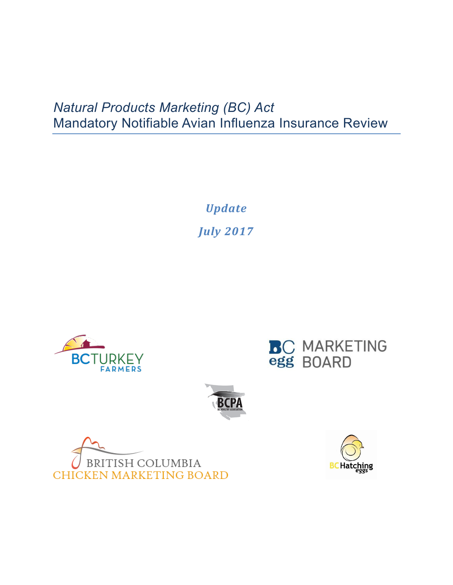## *Natural Products Marketing (BC) Act* Mandatory Notifiable Avian Influenza Insurance Review

*Update July 2017*